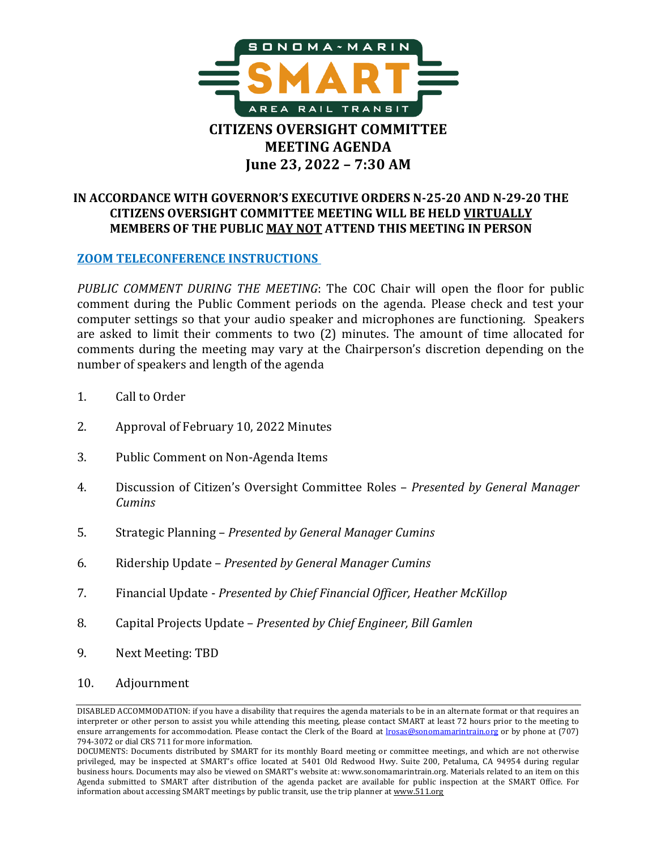

# **IN ACCORDANCE WITH GOVERNOR'S EXECUTIVE ORDERS N-25-20 AND N-29-20 THE CITIZENS OVERSIGHT COMMITTEE MEETING WILL BE HELD VIRTUALLY MEMBERS OF THE PUBLIC MAY NOT ATTEND THIS MEETING IN PERSON**

#### **[ZOOM TELECONFERENCE INSTRUCTIONS](https://sonomamarintrain.org/sites/default/files/Board/COC%20Documents/06_23_22_COC_Zoom_Teleconference_Instructions.pdf)**

*PUBLIC COMMENT DURING THE MEETING*: The COC Chair will open the floor for public comment during the Public Comment periods on the agenda. Please check and test your computer settings so that your audio speaker and microphones are functioning. Speakers are asked to limit their comments to two (2) minutes. The amount of time allocated for comments during the meeting may vary at the Chairperson's discretion depending on the number of speakers and length of the agenda

- 1. Call to Order
- 2. Approval of February 10, 2022 Minutes
- 3. Public Comment on Non-Agenda Items
- 4. Discussion of Citizen's Oversight Committee Roles *Presented by General Manager Cumins*
- 5. Strategic Planning *Presented by General Manager Cumins*
- 6. Ridership Update *Presented by General Manager Cumins*
- 7. Financial Update *Presented by Chief Financial Officer, Heather McKillop*
- 8. Capital Projects Update *Presented by Chief Engineer, Bill Gamlen*
- 9. Next Meeting: TBD
- 10. Adjournment

DISABLED ACCOMMODATION: if you have a disability that requires the agenda materials to be in an alternate format or that requires an interpreter or other person to assist you while attending this meeting, please contact SMART at least 72 hours prior to the meeting to ensure arrangements for accommodation. Please contact the Clerk of the Board at *Irosas@sonomamarintrain.org* or by phone at (707) 794-3072 or dial CRS 711 for more information.

DOCUMENTS: Documents distributed by SMART for its monthly Board meeting or committee meetings, and which are not otherwise privileged, may be inspected at SMART's office located at 5401 Old Redwood Hwy. Suite 200, Petaluma, CA 94954 during regular business hours. Documents may also be viewed on SMART's website at: www.sonomamarintrain.org. Materials related to an item on this Agenda submitted to SMART after distribution of the agenda packet are available for public inspection at the SMART Office. For information about accessing SMART meetings by public transit, use the trip planner a[t www.511.org](http://www.511.org/)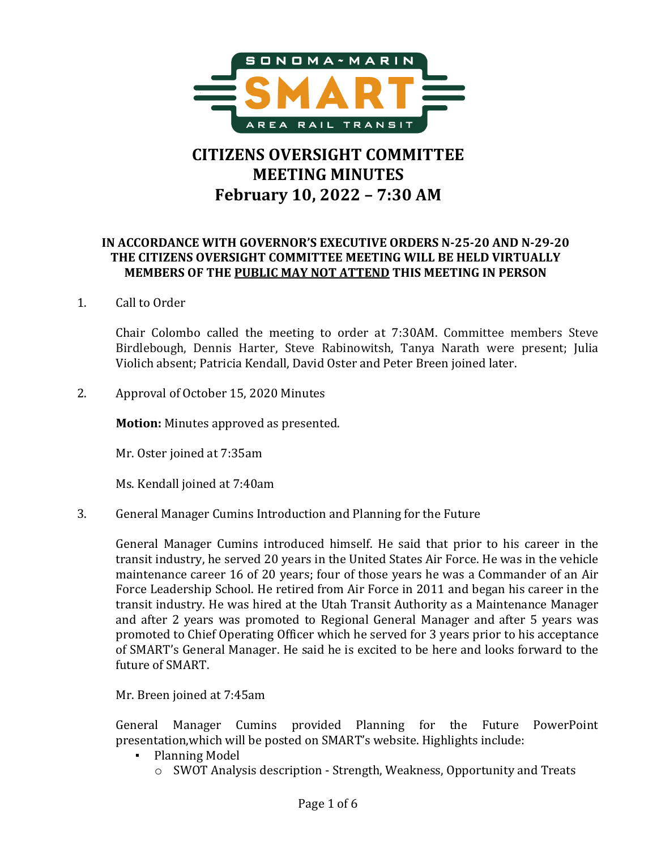

# **CITIZENS OVERSIGHT COMMITTEE MEETING MINUTES February 10, 2022 – 7:30 AM**

## **IN ACCORDANCE WITH GOVERNOR'S EXECUTIVE ORDERS N-25-20 AND N-29-20 THE CITIZENS OVERSIGHT COMMITTEE MEETING WILL BE HELD VIRTUALLY MEMBERS OF THE PUBLIC MAY NOT ATTEND THIS MEETING IN PERSON**

1. Call to Order

Chair Colombo called the meeting to order at 7:30AM. Committee members Steve Birdlebough, Dennis Harter, Steve Rabinowitsh, Tanya Narath were present; Julia Violich absent; Patricia Kendall, David Oster and Peter Breen joined later.

2. Approval of October 15, 2020 Minutes

**Motion:** Minutes approved as presented.

Mr. Oster joined at 7:35am

Ms. Kendall joined at 7:40am

3. General Manager Cumins Introduction and Planning for the Future

General Manager Cumins introduced himself. He said that prior to his career in the transit industry, he served 20 years in the United States Air Force. He was in the vehicle maintenance career 16 of 20 years; four of those years he was a Commander of an Air Force Leadership School. He retired from Air Force in 2011 and began his career in the transit industry. He was hired at the Utah Transit Authority as a Maintenance Manager and after 2 years was promoted to Regional General Manager and after 5 years was promoted to Chief Operating Officer which he served for 3 years prior to his acceptance of SMART's General Manager. He said he is excited to be here and looks forward to the future of SMART.

Mr. Breen joined at 7:45am

General Manager Cumins provided Planning for the Future PowerPoint presentation,which will be posted on SMART's website. Highlights include:

- Planning Model
	- o SWOT Analysis description Strength, Weakness, Opportunity and Treats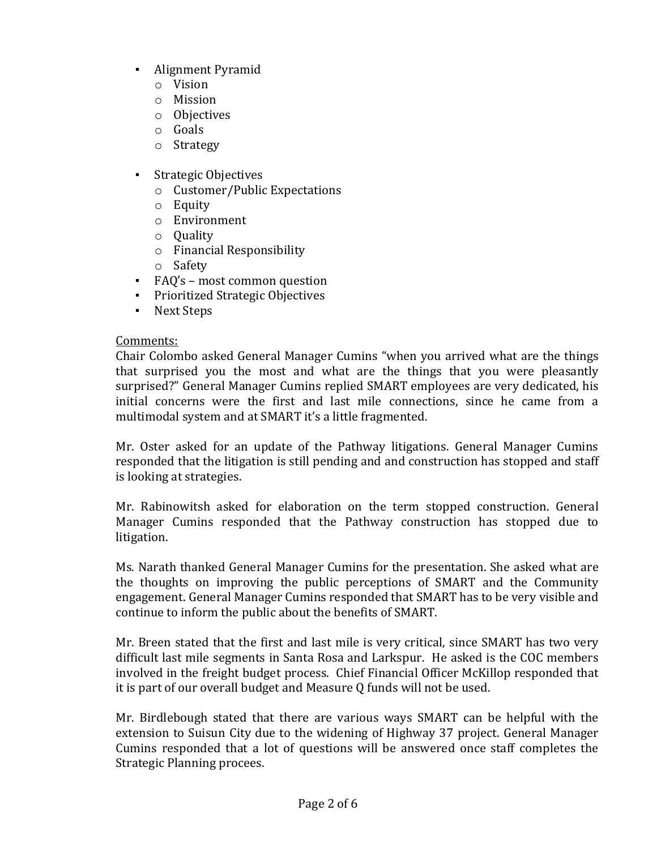- Alignment Pyramid
	- o Vision
	- o Mission
	- o Objectives
	- o Goals
	- o Strategy
- Strategic Objectives
	- o Customer/Public Expectations
	- o Equity
	- o Environment
	- o Quality
	- o Financial Responsibility
	- o Safety
- FAQ's most common question
- Prioritized Strategic Objectives
- Next Steps

#### Comments:

Chair Colombo asked General Manager Cumins "when you arrived what are the things that surprised you the most and what are the things that you were pleasantly surprised?" General Manager Cumins replied SMART employees are very dedicated, his initial concerns were the first and last mile connections, since he came from a multimodal system and at SMART it's a little fragmented.

Mr. Oster asked for an update of the Pathway litigations. General Manager Cumins responded that the litigation is still pending and and construction has stopped and staff is looking at strategies.

Mr. Rabinowitsh asked for elaboration on the term stopped construction. General Manager Cumins responded that the Pathway construction has stopped due to litigation.

Ms. Narath thanked General Manager Cumins for the presentation. She asked what are the thoughts on improving the public perceptions of SMART and the Community engagement. General Manager Cumins responded that SMART has to be very visible and continue to inform the public about the benefits of SMART.

Mr. Breen stated that the first and last mile is very critical, since SMART has two very difficult last mile segments in Santa Rosa and Larkspur. He asked is the COC members involved in the freight budget process. Chief Financial Officer McKillop responded that it is part of our overall budget and Measure Q funds will not be used.

Mr. Birdlebough stated that there are various ways SMART can be helpful with the extension to Suisun City due to the widening of Highway 37 project. General Manager Cumins responded that a lot of questions will be answered once staff completes the Strategic Planning procees.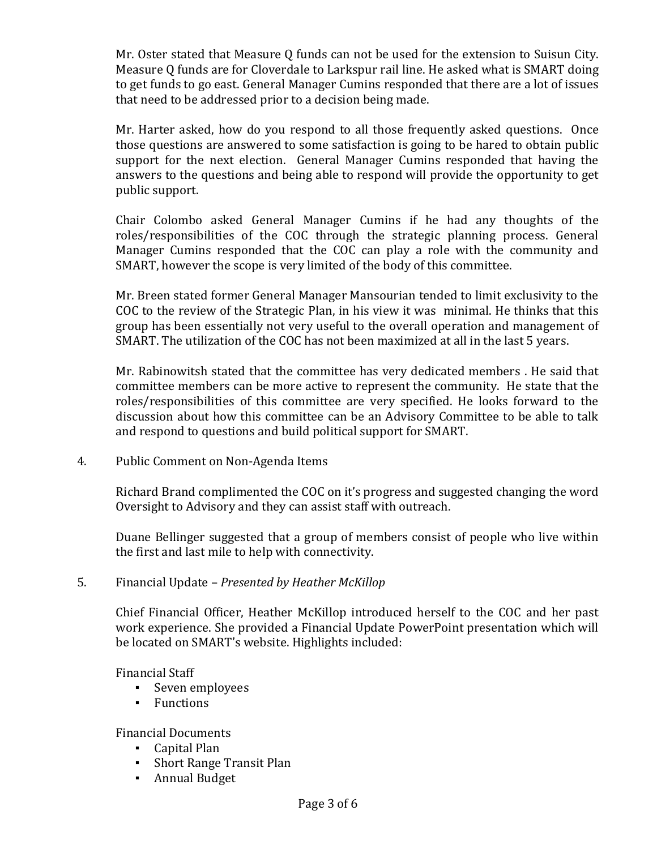Mr. Oster stated that Measure Q funds can not be used for the extension to Suisun City. Measure Q funds are for Cloverdale to Larkspur rail line. He asked what is SMART doing to get funds to go east. General Manager Cumins responded that there are a lot of issues that need to be addressed prior to a decision being made.

Mr. Harter asked, how do you respond to all those frequently asked questions. Once those questions are answered to some satisfaction is going to be hared to obtain public support for the next election. General Manager Cumins responded that having the answers to the questions and being able to respond will provide the opportunity to get public support.

Chair Colombo asked General Manager Cumins if he had any thoughts of the roles/responsibilities of the COC through the strategic planning process. General Manager Cumins responded that the COC can play a role with the community and SMART, however the scope is very limited of the body of this committee.

Mr. Breen stated former General Manager Mansourian tended to limit exclusivity to the COC to the review of the Strategic Plan, in his view it was minimal. He thinks that this group has been essentially not very useful to the overall operation and management of SMART. The utilization of the COC has not been maximized at all in the last 5 years.

Mr. Rabinowitsh stated that the committee has very dedicated members . He said that committee members can be more active to represent the community. He state that the roles/responsibilities of this committee are very specified. He looks forward to the discussion about how this committee can be an Advisory Committee to be able to talk and respond to questions and build political support for SMART.

4. Public Comment on Non-Agenda Items

Richard Brand complimented the COC on it's progress and suggested changing the word Oversight to Advisory and they can assist staff with outreach.

Duane Bellinger suggested that a group of members consist of people who live within the first and last mile to help with connectivity.

5. Financial Update – *Presented by Heather McKillop*

Chief Financial Officer, Heather McKillop introduced herself to the COC and her past work experience. She provided a Financial Update PowerPoint presentation which will be located on SMART's website. Highlights included:

Financial Staff

- Seven employees
- Functions

Financial Documents

- Capital Plan
- Short Range Transit Plan
- Annual Budget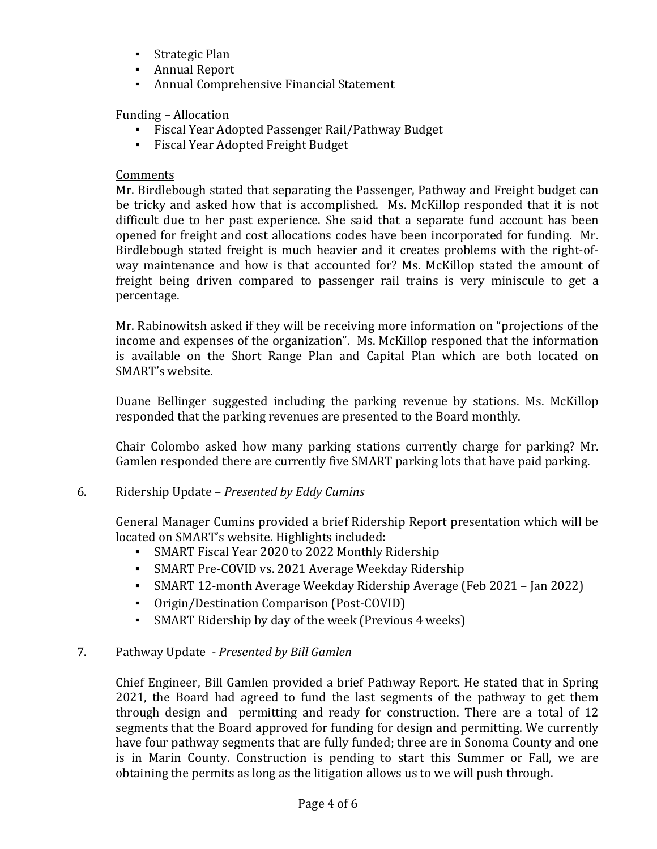- Strategic Plan
- Annual Report
- **Annual Comprehensive Financial Statement**

Funding – Allocation

- Fiscal Year Adopted Passenger Rail/Pathway Budget
- Fiscal Year Adopted Freight Budget

#### Comments

Mr. Birdlebough stated that separating the Passenger, Pathway and Freight budget can be tricky and asked how that is accomplished. Ms. McKillop responded that it is not difficult due to her past experience. She said that a separate fund account has been opened for freight and cost allocations codes have been incorporated for funding. Mr. Birdlebough stated freight is much heavier and it creates problems with the right-ofway maintenance and how is that accounted for? Ms. McKillop stated the amount of freight being driven compared to passenger rail trains is very miniscule to get a percentage.

Mr. Rabinowitsh asked if they will be receiving more information on "projections of the income and expenses of the organization". Ms. McKillop responed that the information is available on the Short Range Plan and Capital Plan which are both located on SMART's website.

Duane Bellinger suggested including the parking revenue by stations. Ms. McKillop responded that the parking revenues are presented to the Board monthly.

Chair Colombo asked how many parking stations currently charge for parking? Mr. Gamlen responded there are currently five SMART parking lots that have paid parking.

#### 6. Ridership Update – *Presented by Eddy Cumins*

General Manager Cumins provided a brief Ridership Report presentation which will be located on SMART's website. Highlights included:

- SMART Fiscal Year 2020 to 2022 Monthly Ridership
- SMART Pre-COVID vs. 2021 Average Weekday Ridership
- SMART 12-month Average Weekday Ridership Average (Feb 2021 Jan 2022)
- Origin/Destination Comparison (Post-COVID)
- SMART Ridership by day of the week (Previous 4 weeks)

# 7. Pathway Update - *Presented by Bill Gamlen*

Chief Engineer, Bill Gamlen provided a brief Pathway Report. He stated that in Spring 2021, the Board had agreed to fund the last segments of the pathway to get them through design and permitting and ready for construction. There are a total of 12 segments that the Board approved for funding for design and permitting. We currently have four pathway segments that are fully funded; three are in Sonoma County and one is in Marin County. Construction is pending to start this Summer or Fall, we are obtaining the permits as long as the litigation allows us to we will push through.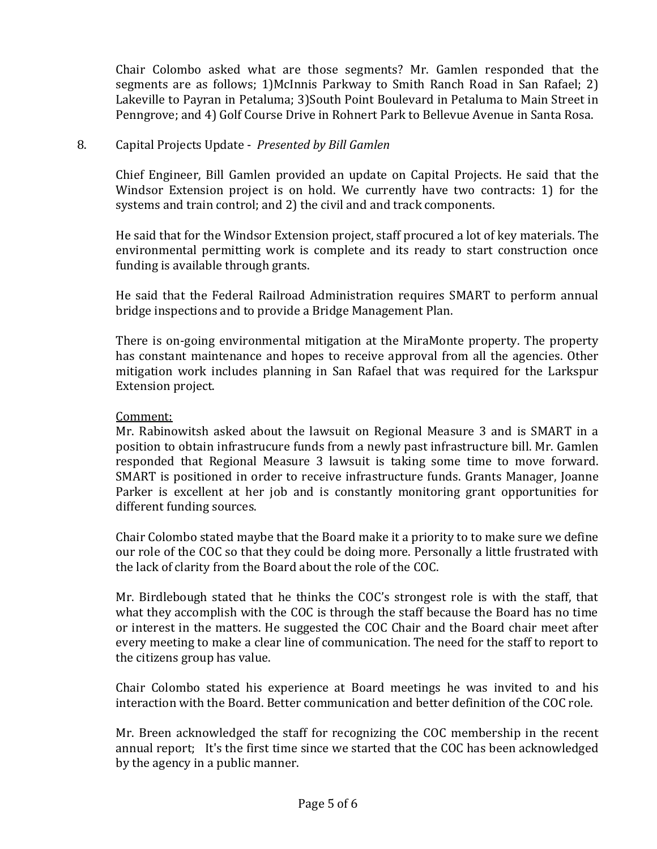Chair Colombo asked what are those segments? Mr. Gamlen responded that the segments are as follows; 1)McInnis Parkway to Smith Ranch Road in San Rafael; 2) Lakeville to Payran in Petaluma; 3)South Point Boulevard in Petaluma to Main Street in Penngrove; and 4) Golf Course Drive in Rohnert Park to Bellevue Avenue in Santa Rosa.

## 8. Capital Projects Update - *Presented by Bill Gamlen*

Chief Engineer, Bill Gamlen provided an update on Capital Projects. He said that the Windsor Extension project is on hold. We currently have two contracts: 1) for the systems and train control; and 2) the civil and and track components.

He said that for the Windsor Extension project, staff procured a lot of key materials. The environmental permitting work is complete and its ready to start construction once funding is available through grants.

He said that the Federal Railroad Administration requires SMART to perform annual bridge inspections and to provide a Bridge Management Plan.

There is on-going environmental mitigation at the MiraMonte property. The property has constant maintenance and hopes to receive approval from all the agencies. Other mitigation work includes planning in San Rafael that was required for the Larkspur Extension project.

#### Comment:

Mr. Rabinowitsh asked about the lawsuit on Regional Measure 3 and is SMART in a position to obtain infrastrucure funds from a newly past infrastructure bill. Mr. Gamlen responded that Regional Measure 3 lawsuit is taking some time to move forward. SMART is positioned in order to receive infrastructure funds. Grants Manager, Joanne Parker is excellent at her job and is constantly monitoring grant opportunities for different funding sources.

Chair Colombo stated maybe that the Board make it a priority to to make sure we define our role of the COC so that they could be doing more. Personally a little frustrated with the lack of clarity from the Board about the role of the COC.

Mr. Birdlebough stated that he thinks the COC's strongest role is with the staff, that what they accomplish with the COC is through the staff because the Board has no time or interest in the matters. He suggested the COC Chair and the Board chair meet after every meeting to make a clear line of communication. The need for the staff to report to the citizens group has value.

Chair Colombo stated his experience at Board meetings he was invited to and his interaction with the Board. Better communication and better definition of the COC role.

Mr. Breen acknowledged the staff for recognizing the COC membership in the recent annual report; It's the first time since we started that the COC has been acknowledged by the agency in a public manner.